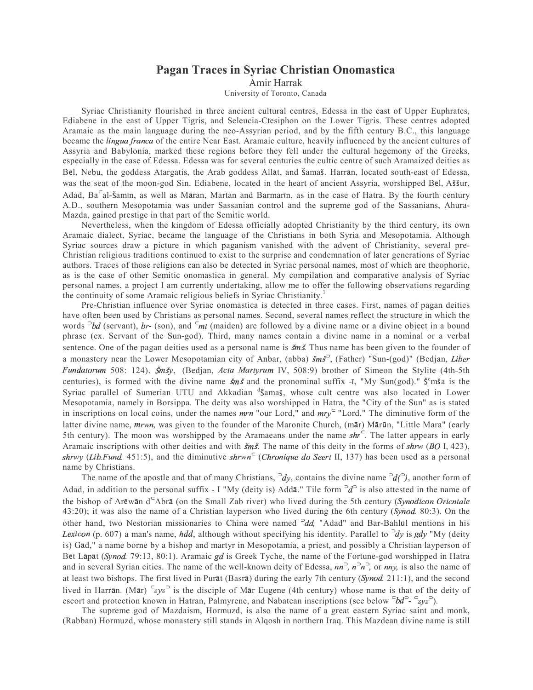## Pagan Traces in Syriac Christian Onomastica

Amir Harrak

University of Toronto, Canada

Syriac Christianity flourished in three ancient cultural centres, Edessa in the east of Upper Euphrates, Ediabene in the east of Upper Tigris, and Seleucia-Ctesiphon on the Lower Tigris. These centres adopted Aramaic as the main language during the neo-Assyrian period, and by the fifth century B.C., this language became the *lingua franca* of the entire Near East. Aramaic culture, heavily influenced by the ancient cultures of Assyria and Babylonia, marked these regions before they fell under the cultural hegemony of the Greeks, especially in the case of Edessa. Edessa was for several centuries the cultic centre of such Aramaized deities as Bēl, Nebu, the goddess Atargatis, the Arab goddess Allāt, and Šamaš. Harrān, located south-east of Edessa, was the seat of the moon-god Sin. Ediabene, located in the heart of ancient Assyria, worshipped Bel, Aššur, Adad, Ba<sup>c</sup>al-Šamīn, as well as Māran, Martan and Barmarīn, as in the case of Hatra. By the fourth century A.D., southern Mesopotamia was under Sassanian control and the supreme god of the Sassanians, Ahura-Mazda, gained prestige in that part of the Semitic world.

Nevertheless, when the kingdom of Edessa officially adopted Christianity by the third century, its own Aramaic dialect, Syriac, became the language of the Christians in both Syria and Mesopotamia. Although Syriac sources draw a picture in which paganism vanished with the advent of Christianity, several pre-Christian religious traditions continued to exist to the surprise and condemnation of later generations of Syriac authors. Traces of those religions can also be detected in Syriac personal names, most of which are theophoric, as is the case of other Semitic onomastica in general. My compilation and comparative analysis of Syriac personal names, a project I am currently undertaking, allow me to offer the following observations regarding the continuity of some Aramaic religious beliefs in Syriac Christianity.<sup>1</sup>

Pre-Christian influence over Syriac onomastica is detected in three cases. First, names of pagan deities have often been used by Christians as personal names. Second, several names reflect the structure in which the words  $\partial^2 bd$  (servant), br- (son), and  $\partial^2 mt$  (maiden) are followed by a divine name or a divine object in a bound phrase (ex. Servant of the Sun-god). Third, many names contain a divine name in a nominal or a verbal sentence. One of the pagan deities used as a personal name is  $\zeta m \zeta$ . Thus name has been given to the founder of a monastery near the Lower Mesopotamian city of Anbar, (abba)  $\zeta m \zeta^2$ , (Father) "Sun-(god)" (Bedjan, Liber Fundatorum 508: 124). Šmšy, (Bedjan, Acta Martyrum IV, 508:9) brother of Simeon the Stylite (4th-5th centuries), is formed with the divine name  $\zeta m \zeta$  and the pronominal suffix -ī, "My Sun(god)."  $\zeta^e$ mša is the Syriac parallel of Sumerian UTU and Akkadian d'Samas, whose cult centre was also located in Lower Mesopotamia, namely in Borsippa. The deity was also worshipped in Hatra, the "City of the Sun" as is stated in inscriptions on local coins, under the names  $mrn$  "our Lord," and  $mry<sup>c</sup>$  "Lord." The diminutive form of the latter divine name, *mrwn*, was given to the founder of the Maronite Church, (mār) Mārūn, "Little Mara" (early 5th century). The moon was worshipped by the Aramaeans under the name  $shr<sup>c</sup>$ . The latter appears in early Aramaic inscriptions with other deities and with  $\zeta m \zeta$ . The name of this deity in the forms of  $\zeta h r w$  (BO I, 423), shrwy (Lib. Fund. 451:5), and the diminutive shrwn<sup>c</sup> (Chronique do Seert II, 137) has been used as a personal name by Christians.

The name of the apostle and that of many Christians,  $\neg dy$ , contains the divine name  $\neg d \neg$ ), another form of Adad, in addition to the personal suffix - I "My (deity is) Addā." Tile form  $\partial^2 d^S$  is also attested in the name of the bishop of Arēwān d<sup>⊂</sup>Abrā (on the Small Zab river) who lived during the 5th century (Synodicon Oricntale 43:20); it was also the name of a Christian layperson who lived during the 6th century (Synod. 80:3). On the other hand, two Nestorian missionaries to China were named  $\neg dd$ , "Adad" and Bar-Bahlūl mentions in his Lexicon (p. 607) a man's name, hdd, although without specifying his identity. Parallel to <sup>2</sup>dy is gdy "My (deity is) Gād," a name borne by a bishop and martyr in Mesopotamia, a priest, and possibly a Christian layperson of Bet Lapat (Synod. 79:13, 80:1). Aramaic gd is Greek Tyche, the name of the Fortune-god worshipped in Hatra and in several Syrian cities. The name of the well-known deity of Edessa,  $nn^2$ ,  $n^2n^2$ , or  $nny$ , is also the name of at least two bishops. The first lived in Purāt (Basrā) during the early 7th century (Synod. 211:1), and the second lived in Harrān. (Mār)  $\epsilon_{zy}$ <sup>2</sup> is the disciple of Mār Eugene (4th century) whose name is that of the deity of escort and protection known in Hatran, Palmyrene, and Nabatean inscriptions (see below  $\epsilon b d^D - \epsilon z y z^D$ ).

The supreme god of Mazdaism, Hormuzd, is also the name of a great eastern Syriac saint and monk, (Rabban) Hormuzd, whose monastery still stands in Alqosh in northern Iraq. This Mazdean divine name is still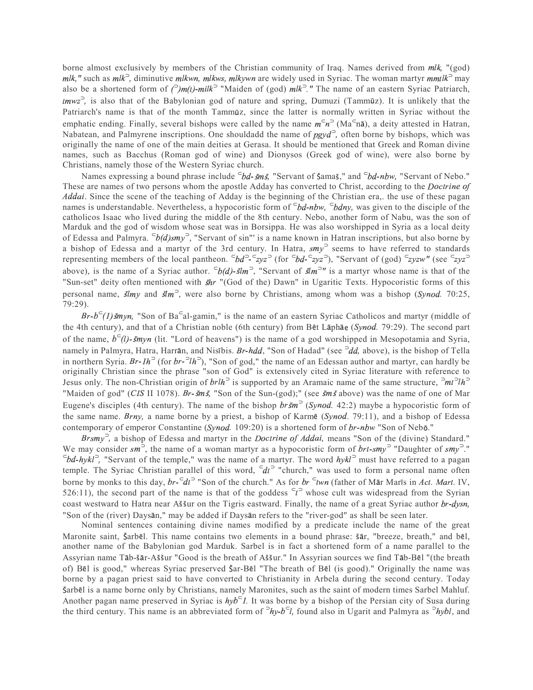borne almost exclusively by members of the Christian community of Iraq. Names derived from mlk, "(god) mlk," such as mlk<sup>2</sup>, diminutive mlkwn, mlkws, mlkywn are widely used in Syriac. The woman martyr mmtlk<sup>2</sup> may also be a shortened form of  $\binom{2}{m}$  /(*t*)-milk<sup>2</sup> "Maiden of (god) mlk<sup>2</sup>." The name of an eastern Syriac Patriarch, tmwz<sup>2</sup>, is also that of the Babylonian god of nature and spring, Dumuzi (Tammūz). It is unlikely that the Patriarch's name is that of the month Tammūz, since the latter is normally written in Syriac without the emphatic ending. Finally, several bishops were called by the name  $m^c n^2$  (Ma<sup>c</sup>na), a deity attested in Hatran, Nabatean, and Palmyrene inscriptions. One shouldadd the name of  $pgyd^2$ , often borne by bishops, which was originally the name of one of the main deities at Gerasa. It should be mentioned that Greek and Roman divine names, such as Bacchus (Roman god of wine) and Dionysos (Greek god of wine), were also borne by Christians, namely those of the Western Syriac church.

Names expressing a bound phrase include <sup>⊂</sup>bd-šmš, "Servant of Šamaš," and <sup>⊂</sup>bd-nbw, "Servant of Nebo." These are names of two persons whom the apostle Adday has converted to Christ, according to the *Doctrine of* Addai. Since the scene of the teaching of Adday is the beginning of the Christian era,. the use of these pagan names is understandable. Nevertheless, a hypocoristic form of  $\bar{c}bd-nbw$ ,  $\bar{c}bdny$ , was given to the disciple of the catholicos Isaac who lived during the middle of the 8th century. Nebo, another form of Nabu, was the son of Marduk and the god of wisdom whose seat was in Borsippa. He was also worshipped in Syria as a local deity of Edessa and Palmyra.  $\epsilon_b(d)$ smy<sup>2</sup>, "Servant of sin"' is a name known in Hatran inscriptions, but also borne by a bishop of Edessa and a martyr of the 3rd century. In Hatra,  $smy^3$  seems to have referred to standards representing members of the local pantheon.  $\epsilon b d^2 - \epsilon z y z^2$  (for  $\epsilon^2 b d - \epsilon^2 z y z^2$ ), "Servant of (god)  $\epsilon^2 z y z w''$  (see  $\epsilon^2 z y z^2$ above), is the name of a Syriac author.  $\epsilon_b(d)$ - $\sin^3$ , "Servant of  $\sin^{-n}$  is a martyr whose name is that of the "Sun-set" deity often mentioned with  $\sin$  "(God of the) Dawn" in Ugaritic Texts. Hypocoristic forms of this personal name,  $\sin y$  and  $\sin^3$ , were also borne by Christians, among whom was a bishop (Synod. 70:25, 79:29).

 $Br-b<sup>-</sup>(1)$  šmyn, "Son of Ba<sup>-c</sup>al-gamin," is the name of an eastern Syriac Catholicos and martyr (middle of the 4th century), and that of a Christian noble (6th century) from Bet Laphae (Synod. 79:29). The second part of the name,  $b^c(l)$ - šmyn (lit. "Lord of heavens") is the name of a god worshipped in Mesopotamia and Syria, namely in Palmyra, Hatra, Harrān, and Nisībis. *Br-hdd*, "Son of Hadad" (see <sup>⊃</sup>dd, above), is the bishop of Tella in northern Syria. Br-1h<sup>2</sup> (for  $br^{-2}lh^2$ ), "Son of god," the name of an Edessan author and martyr, can hardly be originally Christian since the phrase "son of God" is extensively cited in Syriac literature with reference to Jesus only. The non-Christian origin of  $brlh^2$  is supported by an Aramaic name of the same structure,  $\frac{a}{h}$ "Maiden of god" (*CIS* II 1078). *Br-šmš*, "Son of the Sun-(god);" (see *šmš* above) was the name of one of Mar Eugene's disciples (4th century). The name of the bishop  $br\zeta m^3$  (Synod. 42:2) maybe a hypocoristic form of the same name. Brny, a name borne by a priest, a bishop of Karme (Synod. 79:11), and a bishop of Edessa contemporary of emperor Constantine (Synod. 109:20) is a shortened form of  $br{\text{-}nbw}$  "Son of Nebō."

Brsmy<sup>-</sup>, a bishop of Edessa and martyr in the *Doctrine of Addai*, means "Son of the (divine) Standard." We may consider  $sm^3$ , the name of a woman martyr as a hypocoristic form of  $brt-smy^3$  "Daughter of  $smy^3$ ."  $\epsilon_{bd-hykl}$ <sup> $\sim$ </sup>, "Servant of the temple," was the name of a martyr. The word  $hykl<sup>2</sup>$  must have referred to a pagan temple. The Syriac Christian parallel of this word,  $\bar{c}dt^2$  "church," was used to form a personal name often borne by monks to this day,  $br^-\epsilon dt^-$  "Son of the church." As for  $br^-\epsilon twn$  (father of Mar Maris in Act. Mart. IV, 526:11), the second part of the name is that of the goddess  $\epsilon$ <sup>2</sup> whose cult was widespread from the Syrian coast westward to Hatra near Aššur on the Tigris eastward. Finally, the name of a great Syriac author br-dysn, "Son of the (river) Daysan," may be added if Daysan refers to the "river-god" as shall be seen later.

Nominal sentences containing divine names modified by a predicate include the name of the great Maronite saint, Šarbēl. This name contains two elements in a bound phrase: šār, "breeze, breath," and bēl, another name of the Babylonian god Marduk. Sarbel is in fact a shortened form of a name parallel to the Assyrian name Tāb-šār-Aššur "Good is the breath of Aššur." In Assyrian sources we find Tāb-Bēl "(the breath of) Bel is good," whereas Syriac preserved  $\ar{-}B$  l "The breath of Bel (is good)." Originally the name was borne by a pagan priest said to have converted to Christianity in Arbela during the second century. Today Šarbēl is a name borne only by Christians, namely Maronites, such as the saint of modern times Sarbel Mahluf. Another pagan name preserved in Syriac is  $hyb<sup>-1</sup>$ . It was borne by a bishop of the Persian city of Susa during the third century. This name is an abbreviated form of  $\partial hy-b^{-1}l$ , found also in Ugarit and Palmyra as  $\partial hybl$ , and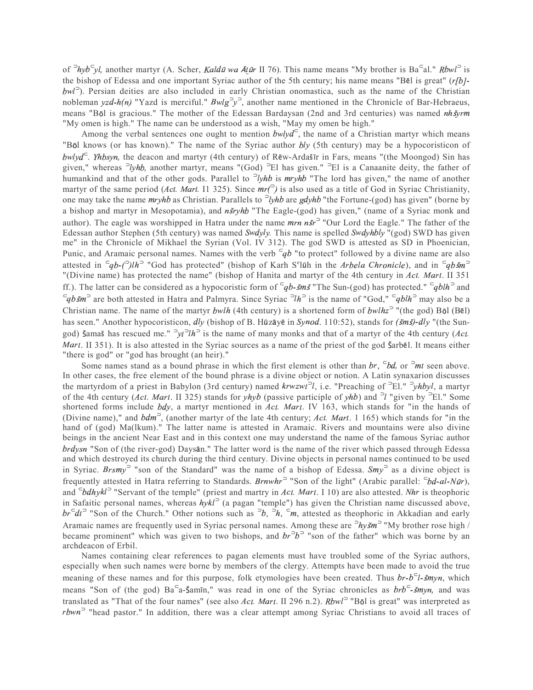of <sup>2</sup>hyb<sup>⊂</sup>yl, another martyr (A. Scher, *Kaldū wa Ātūr* II 76). This name means "My brother is Ba<sup>⊂</sup>al." *Rbwl*<sup>2</sup> is the bishop of Edessa and one important Syriac author of the 5th century; his name means "Bel is great"  $(r/b)$ bwl<sup>2</sup>). Persian deities are also included in early Christian onomastica, such as the name of the Christian nobleman yzd-h(n) "Yazd is merciful."  $Bwlg^2y^2$ , another name mentioned in the Chronicle of Bar-Hebraeus, means "Bōl is gracious." The mother of the Edessan Bardaysan (2nd and 3rd centuries) was named *nh syrm* "My omen is high." The name can be understood as a wish, "May my omen be high."

Among the verbal sentences one ought to mention  $b w l y d<sup>°</sup>$ , the name of a Christian martyr which means "Bol knows (or has known)." The name of the Syriac author *bly* (5th century) may be a hypocoristicon of  $b w l y d<sup>–</sup>$ . *Yhbsyn*, the deacon and martyr (4th century) of Rēw-Ardašīr in Fars, means "(the Moongod) Sin has given," whereas  $\partial y$ hb, another martyr, means "(God)  $\partial E1$  has given."  $\partial E1$  is a Canaanite deity, the father of humankind and that of the other gods. Parallel to  $\partial y$ hb is mryhb "The lord has given," the name of another martyr of the same period (*Act. Mart.* I1 325). Since  $mr^2$ ) is also used as a title of God in Syriac Christianity, one may take the name  $mryhb$  as Christian. Parallels to  $\partial yhb$  are gdyhb "the Fortune-(god) has given" (borne by a bishop and martyr in Mesopotamia), and *nšryhb* "The Eagle-(god) has given," (name of a Syriac monk and author). The eagle was worshipped in Hatra under the name  $mrn n \xi r^2$  "Our Lord the Eagle." The father of the Edessan author Stephen (5th century) was named Swdyly. This name is spelled Swdyhbly "(god) SWD has given me" in the Chronicle of Mikhael the Syrian (Vol. IV 312). The god SWD is attested as SD in Phoenician, Punic, and Aramaic personal names. Names with the verb  $\bar{q}b$  "to protect" followed by a divine name are also attested in  $\pi$  =  $q$ b- $\pi$ )lh<sup>2</sup> "God has protected" (bishop of Karh S<sup>e</sup>lūh in the Arbela Chronicle), and in  $\pi$ "(Divine name) has protected the name" (bishop of Hanita and martyr of the 4th century in Act. Mart. II 351 ff.). The latter can be considered as a hypocoristic form of  $\overline{q}b$ -*šmš* "The Sun-(god) has protected."  $\overline{q}blh$  and  $\leq q b$  is the name of "God,"  $\leq q b l h$ <sup>2</sup> may also be a and Palmyra. Since Syriac  $\geq l h$ <sup>2</sup> is the name of "God,"  $\leq q b l h$ <sup>2</sup> may also be a Christian name. The name of the martyr bwlh (4th century) is a shortened form of bwlhz<sup> $\sup$ </sup> "(the god) Bol (Bel) has seen." Another hypocoristicon, dly (bishop of B. Hūzāyē in Synod. 110:52), stands for  $(\breve{s}m\breve{s})$ -dly "(the Sungod) Šamaš has rescued me." <sup>⇒</sup>yt<sup>⇒</sup>lh<sup>⇒</sup> is the name of many monks and that of a martyr of the 4th century (*Act. Mart.* II 351). It is also attested in the Syriac sources as a name of the priest of the god  $\zeta$ arbel. It means either "there is god" or "god has brought (an heir)."

Some names stand as a bound phrase in which the first element is other than br,  $\epsilon_{bd}$ , or  $\epsilon_{mt}$  seen above. In other cases, the free element of the bound phrase is a divine object or notion. A Latin synaxarion discusses the martyrdom of a priest in Babylon (3rd century) named  $k r w z w t^2 l$ , i.e. "Preaching of <sup>5</sup>El." <sup>5</sup>yhbyl, a martyr of the 4th century (Act. Mart. II 325) stands for  $yhyb$  (passive participle of  $yhb$ ) and <sup>2</sup>l "given by <sup>2</sup>El." Some shortened forms include *bdy*, a martyr mentioned in Act. Mart. IV 163, which stands for "in the hands of (Divine name)," and  $bdm^3$ , (another martyr of the late 4th century; Act. Mart. 1 165) which stands for "in the hand of (god) Ma(lkum)." The latter name is attested in Aramaic. Rivers and mountains were also divine beings in the ancient Near East and in this context one may understand the name of the famous Syriac author brdysn "Son of (the river-god) Daysan." The latter word is the name of the river which passed through Edessa and which destroyed its church during the third century. Divine objects in personal names continued to be used in Syriac. Brsmy<sup> $\sup$ </sup> "son of the Standard" was the name of a bishop of Edessa. Smy<sup> $\sup$ </sup> as a divine object is frequently attested in Hatra referring to Standards. Brnwhr<sup>⊃</sup> "Son of the light" (Arabic parallel: <sup>⊂</sup>bd-al-Nūr), and  $\epsilon_b d\hbar y k l^{\circ}$  "Servant of the temple" (priest and martry in Act. Mart. I 10) are also attested. Nhr is theophoric in Safaitic personal names, whereas  $hyk l<sup>2</sup>$  (a pagan "temple") has given the Christian name discussed above,  $br^{\text{c}}dt^{\text{c}}$  "Son of the Church." Other notions such as  $\partial b$ ,  $\partial h$ ,  $\partial m$ , attested as theophoric in Akkadian and early Aramaic names are frequently used in Syriac personal names. Among these are  $\partial hy\zeta m\partial$  "My brother rose high / became prominent" which was given to two bishops, and  $br^2b^2$  "son of the father" which was borne by an archdeacon of Erbil.

Names containing clear references to pagan elements must have troubled some of the Syriac authors, especially when such names were borne by members of the clergy. Attempts have been made to avoid the true meaning of these names and for this purpose, folk etymologies have been created. Thus  $br-b<sup>-1</sup>$ -  $\zeta myn$ , which meaning of these names and for this purpose, folk etymologies have been created. Thus  $br-b^{-1}$ -smyn, which means "Son of (the god) Ba<sup>⊂</sup>a-Samīn," was read in one of the Syriac chronicles as  $br^{\overline{b} - s}$ myn, and was translated as "That of the four names" (see also Act. Mart. II 296 n.2). Rbwl<sup>2</sup> "Bol is great" was interpreted as rbwn<sup>2</sup> "head pastor." In addition, there was a clear attempt among Syriac Christians to avoid all traces of